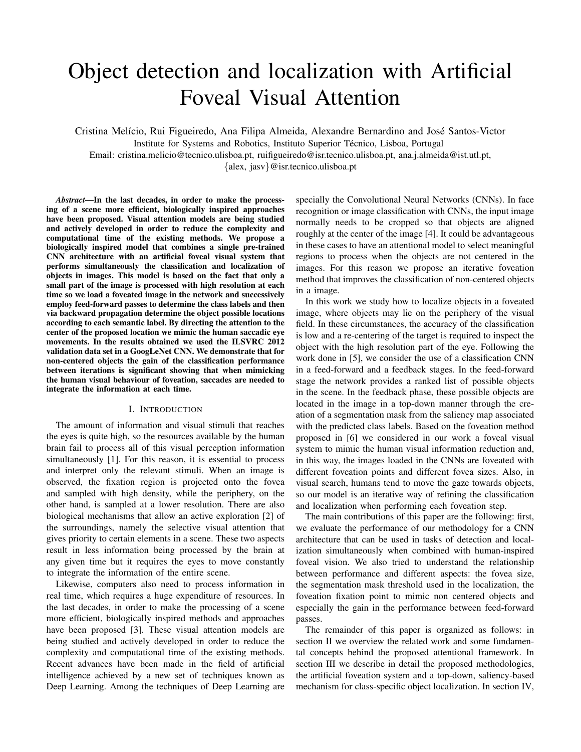# Object detection and localization with Artificial **Foveal Visual Attention**

Cristina Melício, Rui Figueiredo, Ana Filipa Almeida, Alexandre Bernardino and José Santos-Victor Institute for Systems and Robotics, Instituto Superior Técnico, Lisboa, Portugal

Email: cristina.melicio@tecnico.ulisboa.pt, ruifigueiredo@isr.tecnico.ulisboa.pt, ana.j.almeida@ist.utl.pt,

{alex, jasv}@isr.tecnico.ulisboa.pt

Abstract-In the last decades, in order to make the processing of a scene more efficient, biologically inspired approaches have been proposed. Visual attention models are being studied and actively developed in order to reduce the complexity and computational time of the existing methods. We propose a biologically inspired model that combines a single pre-trained CNN architecture with an artificial foveal visual system that performs simultaneously the classification and localization of objects in images. This model is based on the fact that only a small part of the image is processed with high resolution at each time so we load a foveated image in the network and successively employ feed-forward passes to determine the class labels and then via backward propagation determine the object possible locations according to each semantic label. By directing the attention to the center of the proposed location we mimic the human saccadic eye movements. In the results obtained we used the ILSVRC 2012 validation data set in a GoogLeNet CNN. We demonstrate that for non-centered objects the gain of the classification performance between iterations is significant showing that when mimicking the human visual behaviour of foveation, saccades are needed to integrate the information at each time.

# I. INTRODUCTION

The amount of information and visual stimuli that reaches the eves is quite high, so the resources available by the human brain fail to process all of this visual perception information simultaneously [1]. For this reason, it is essential to process and interpret only the relevant stimuli. When an image is observed, the fixation region is projected onto the fovea and sampled with high density, while the periphery, on the other hand, is sampled at a lower resolution. There are also biological mechanisms that allow an active exploration [2] of the surroundings, namely the selective visual attention that gives priority to certain elements in a scene. These two aspects result in less information being processed by the brain at any given time but it requires the eyes to move constantly to integrate the information of the entire scene.

Likewise, computers also need to process information in real time, which requires a huge expenditure of resources. In the last decades, in order to make the processing of a scene more efficient, biologically inspired methods and approaches have been proposed [3]. These visual attention models are being studied and actively developed in order to reduce the complexity and computational time of the existing methods. Recent advances have been made in the field of artificial intelligence achieved by a new set of techniques known as Deep Learning. Among the techniques of Deep Learning are.

specially the Convolutional Neural Networks (CNNs). In face recognition or image classification with CNNs, the input image normally needs to be cropped so that objects are aligned roughly at the center of the image [4]. It could be advantageous in these cases to have an attentional model to select meaningful regions to process when the objects are not centered in the images. For this reason we propose an iterative foveation method that improves the classification of non-centered objects in a image.

In this work we study how to localize objects in a foveated image, where objects may lie on the periphery of the visual field. In these circumstances, the accuracy of the classification is low and a re-centering of the target is required to inspect the object with the high resolution part of the eye. Following the work done in [5], we consider the use of a classification CNN in a feed-forward and a feedback stages. In the feed-forward stage the network provides a ranked list of possible objects in the scene. In the feedback phase, these possible objects are located in the image in a top-down manner through the creation of a segmentation mask from the saliency map associated with the predicted class labels. Based on the foveation method proposed in [6] we considered in our work a foveal visual system to mimic the human visual information reduction and, in this way, the images loaded in the CNNs are foveated with different foveation points and different fovea sizes. Also, in visual search, humans tend to move the gaze towards objects, so our model is an iterative way of refining the classification and localization when performing each foveation step.

The main contributions of this paper are the following: first, we evaluate the performance of our methodology for a CNN architecture that can be used in tasks of detection and localization simultaneously when combined with human-inspired foveal vision. We also tried to understand the relationship between performance and different aspects: the fovea size, the segmentation mask threshold used in the localization, the foveation fixation point to mimic non centered objects and especially the gain in the performance between feed-forward passes.

The remainder of this paper is organized as follows: in section II we overview the related work and some fundamental concepts behind the proposed attentional framework. In section III we describe in detail the proposed methodologies, the artificial foveation system and a top-down, saliency-based mechanism for class-specific object localization. In section IV,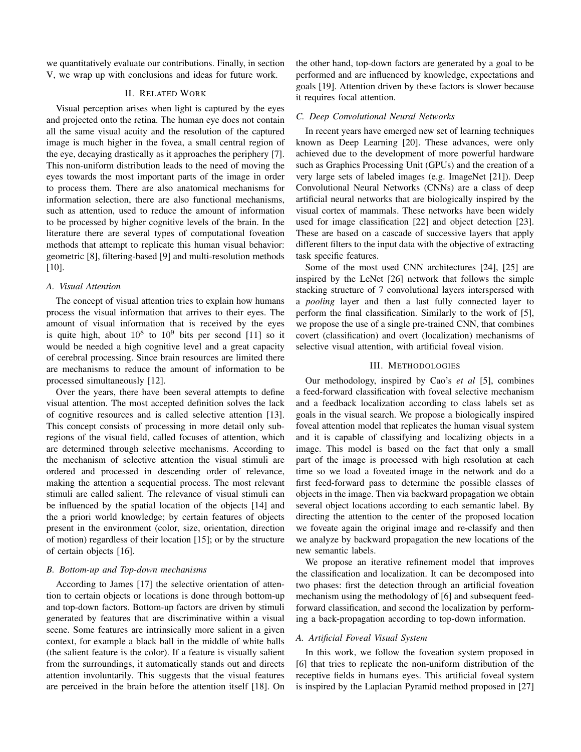we quantitatively evaluate our contributions. Finally, in section V, we wrap up with conclusions and ideas for future work.

# **II. RELATED WORK**

Visual perception arises when light is captured by the eyes and projected onto the retina. The human eye does not contain all the same visual acuity and the resolution of the captured image is much higher in the fovea, a small central region of the eye, decaying drastically as it approaches the periphery [7]. This non-uniform distribution leads to the need of moving the eyes towards the most important parts of the image in order to process them. There are also anatomical mechanisms for information selection, there are also functional mechanisms, such as attention, used to reduce the amount of information to be processed by higher cognitive levels of the brain. In the literature there are several types of computational foveation methods that attempt to replicate this human visual behavior: geometric [8], filtering-based [9] and multi-resolution methods  $[10]$ .

# A. Visual Attention

The concept of visual attention tries to explain how humans process the visual information that arrives to their eyes. The amount of visual information that is received by the eyes is quite high, about  $10^8$  to  $10^9$  bits per second [11] so it would be needed a high cognitive level and a great capacity of cerebral processing. Since brain resources are limited there are mechanisms to reduce the amount of information to be processed simultaneously [12].

Over the years, there have been several attempts to define visual attention. The most accepted definition solves the lack of cognitive resources and is called selective attention [13]. This concept consists of processing in more detail only subregions of the visual field, called focuses of attention, which are determined through selective mechanisms. According to the mechanism of selective attention the visual stimuli are ordered and processed in descending order of relevance, making the attention a sequential process. The most relevant stimuli are called salient. The relevance of visual stimuli can be influenced by the spatial location of the objects [14] and the a priori world knowledge; by certain features of objects present in the environment (color, size, orientation, direction of motion) regardless of their location [15]; or by the structure of certain objects [16].

# B. Bottom-up and Top-down mechanisms

According to James [17] the selective orientation of attention to certain objects or locations is done through bottom-up and top-down factors. Bottom-up factors are driven by stimuli generated by features that are discriminative within a visual scene. Some features are intrinsically more salient in a given context, for example a black ball in the middle of white balls (the salient feature is the color). If a feature is visually salient from the surroundings, it automatically stands out and directs attention involuntarily. This suggests that the visual features are perceived in the brain before the attention itself [18]. On the other hand, top-down factors are generated by a goal to be performed and are influenced by knowledge, expectations and goals [19]. Attention driven by these factors is slower because it requires focal attention.

# C. Deep Convolutional Neural Networks

In recent years have emerged new set of learning techniques known as Deep Learning [20]. These advances, were only achieved due to the development of more powerful hardware such as Graphics Processing Unit (GPUs) and the creation of a very large sets of labeled images (e.g. ImageNet [21]). Deep Convolutional Neural Networks (CNNs) are a class of deep artificial neural networks that are biologically inspired by the visual cortex of mammals. These networks have been widely used for image classification [22] and object detection [23]. These are based on a cascade of successive layers that apply different filters to the input data with the objective of extracting task specific features.

Some of the most used CNN architectures [24], [25] are inspired by the LeNet [26] network that follows the simple stacking structure of 7 convolutional layers interspersed with a pooling layer and then a last fully connected layer to perform the final classification. Similarly to the work of [5], we propose the use of a single pre-trained CNN, that combines covert (classification) and overt (localization) mechanisms of selective visual attention, with artificial foveal vision.

# **III. METHODOLOGIES**

Our methodology, inspired by Cao's et al [5], combines a feed-forward classification with foveal selective mechanism and a feedback localization according to class labels set as goals in the visual search. We propose a biologically inspired foveal attention model that replicates the human visual system and it is capable of classifying and localizing objects in a image. This model is based on the fact that only a small part of the image is processed with high resolution at each time so we load a foveated image in the network and do a first feed-forward pass to determine the possible classes of objects in the image. Then via backward propagation we obtain several object locations according to each semantic label. By directing the attention to the center of the proposed location we foveate again the original image and re-classify and then we analyze by backward propagation the new locations of the new semantic labels.

We propose an iterative refinement model that improves the classification and localization. It can be decomposed into two phases: first the detection through an artificial foveation mechanism using the methodology of [6] and subsequent feedforward classification, and second the localization by performing a back-propagation according to top-down information.

# A. Artificial Foveal Visual System

In this work, we follow the foveation system proposed in [6] that tries to replicate the non-uniform distribution of the receptive fields in humans eyes. This artificial foveal system is inspired by the Laplacian Pyramid method proposed in [27]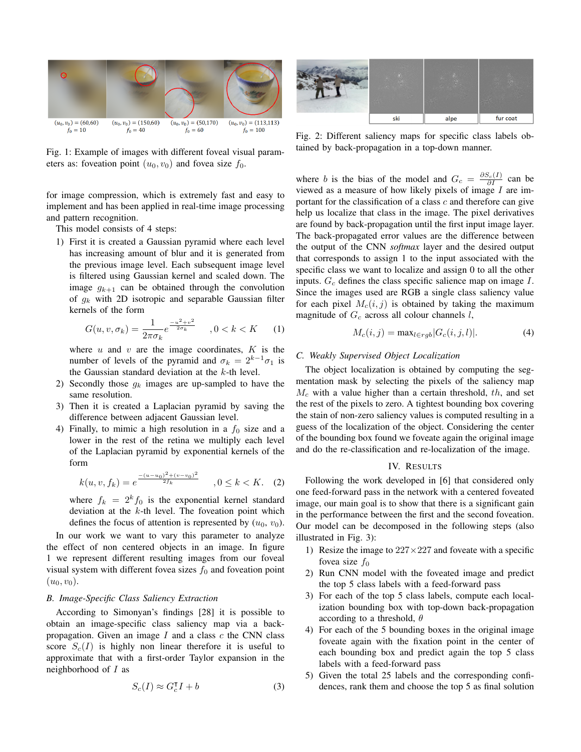

Fig. 1: Example of images with different foveal visual parameters as: foveation point  $(u_0, v_0)$  and fovea size  $f_0$ .

for image compression, which is extremely fast and easy to implement and has been applied in real-time image processing and pattern recognition.

This model consists of 4 steps:

1) First it is created a Gaussian pyramid where each level has increasing amount of blur and it is generated from the previous image level. Each subsequent image level is filtered using Gaussian kernel and scaled down. The image  $g_{k+1}$  can be obtained through the convolution of  $g_k$  with 2D isotropic and separable Gaussian filter kernels of the form

$$
G(u, v, \sigma_k) = \frac{1}{2\pi\sigma_k} e^{\frac{-u^2 + v^2}{2\sigma_k}} \qquad, 0 < k < K \qquad (1)
$$

where  $u$  and  $v$  are the image coordinates,  $K$  is the number of levels of the pyramid and  $\sigma_k = 2^{k-1}\sigma_1$  is the Gaussian standard deviation at the  $k$ -th level.

- 2) Secondly those  $g_k$  images are up-sampled to have the same resolution.
- 3) Then it is created a Laplacian pyramid by saving the difference between adjacent Gaussian level.
- 4) Finally, to mimic a high resolution in a  $f_0$  size and a lower in the rest of the retina we multiply each level of the Laplacian pyramid by exponential kernels of the form

$$
k(u, v, f_k) = e^{\frac{-(u - u_0)^2 + (v - v_0)^2}{2f_k}}, 0 \le k < K. \tag{2}
$$

where  $f_k = 2^k f_0$  is the exponential kernel standard deviation at the  $k$ -th level. The foveation point which defines the focus of attention is represented by  $(u_0, v_0)$ .

In our work we want to vary this parameter to analyze the effect of non centered objects in an image. In figure 1 we represent different resulting images from our foveal visual system with different fovea sizes  $f_0$  and foveation point  $(u_0, v_0)$ .

#### **B.** Image-Specific Class Saliency Extraction

According to Simonyan's findings [28] it is possible to obtain an image-specific class saliency map via a backpropagation. Given an image  $I$  and a class  $c$  the CNN class score  $S_c(I)$  is highly non linear therefore it is useful to approximate that with a first-order Taylor expansion in the neighborhood of  $I$  as

$$
S_c(I) \approx G_c^{\mathsf{T}} I + b \tag{3}
$$



Fig. 2: Different saliency maps for specific class labels obtained by back-propagation in a top-down manner.

where b is the bias of the model and  $G_c = \frac{\partial S_c(I)}{\partial I}$  can be viewed as a measure of how likely pixels of image  $I$  are important for the classification of a class  $c$  and therefore can give help us localize that class in the image. The pixel derivatives are found by back-propagation until the first input image layer. The back-propagated error values are the difference between the output of the CNN *softmax* layer and the desired output that corresponds to assign 1 to the input associated with the specific class we want to localize and assign 0 to all the other inputs.  $G_c$  defines the class specific salience map on image  $I$ . Since the images used are RGB a single class saliency value for each pixel  $M_c(i, j)$  is obtained by taking the maximum magnitude of  $G_c$  across all colour channels l,

$$
M_c(i,j) = \max_{l \in rgb} |G_c(i,j,l)|. \tag{4}
$$

# C. Weakly Supervised Object Localization

The object localization is obtained by computing the segmentation mask by selecting the pixels of the saliency map  $M_c$  with a value higher than a certain threshold, th, and set the rest of the pixels to zero. A tightest bounding box covering the stain of non-zero saliency values is computed resulting in a guess of the localization of the object. Considering the center of the bounding box found we foveate again the original image and do the re-classification and re-localization of the image.

### **IV. RESULTS**

Following the work developed in [6] that considered only one feed-forward pass in the network with a centered foveated image, our main goal is to show that there is a significant gain in the performance between the first and the second foveation. Our model can be decomposed in the following steps (also illustrated in Fig. 3):

- 1) Resize the image to  $227 \times 227$  and foveate with a specific fovea size  $f_0$
- 2) Run CNN model with the foveated image and predict the top 5 class labels with a feed-forward pass
- 3) For each of the top 5 class labels, compute each localization bounding box with top-down back-propagation according to a threshold,  $\theta$
- 4) For each of the 5 bounding boxes in the original image foveate again with the fixation point in the center of each bounding box and predict again the top 5 class labels with a feed-forward pass
- 5) Given the total 25 labels and the corresponding confidences, rank them and choose the top 5 as final solution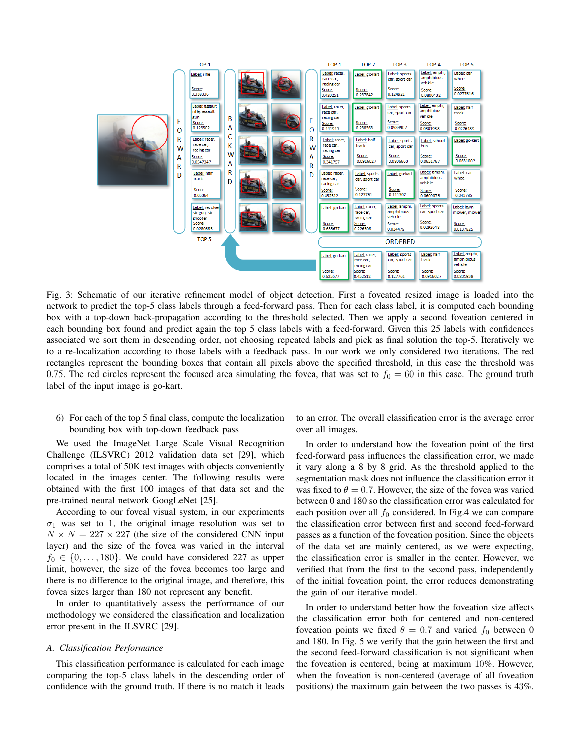

Fig. 3: Schematic of our iterative refinement model of object detection. First a foveated resized image is loaded into the network to predict the top-5 class labels through a feed-forward pass. Then for each class label, it is computed each bounding box with a top-down back-propagation according to the threshold selected. Then we apply a second foveation centered in each bounding box found and predict again the top 5 class labels with a feed-forward. Given this 25 labels with confidences associated we sort them in descending order, not choosing repeated labels and pick as final solution the top-5. Iteratively we to a re-localization according to those labels with a feedback pass. In our work we only considered two iterations. The red rectangles represent the bounding boxes that contain all pixels above the specified threshold, in this case the threshold was 0.75. The red circles represent the focused area simulating the fovea, that was set to  $f_0 = 60$  in this case. The ground truth label of the input image is go-kart.

6) For each of the top 5 final class, compute the localization bounding box with top-down feedback pass

We used the ImageNet Large Scale Visual Recognition Challenge (ILSVRC) 2012 validation data set [29], which comprises a total of 50K test images with objects conveniently located in the images center. The following results were obtained with the first 100 images of that data set and the pre-trained neural network GoogLeNet [25].

According to our foveal visual system, in our experiments  $\sigma_1$  was set to 1, the original image resolution was set to  $N \times N = 227 \times 227$  (the size of the considered CNN input layer) and the size of the fovea was varied in the interval  $f_0 \in \{0, \ldots, 180\}$ . We could have considered 227 as upper limit, however, the size of the fovea becomes too large and there is no difference to the original image, and therefore, this fovea sizes larger than 180 not represent any benefit.

In order to quantitatively assess the performance of our methodology we considered the classification and localization error present in the ILSVRC [29].

# A. Classification Performance

This classification performance is calculated for each image comparing the top-5 class labels in the descending order of confidence with the ground truth. If there is no match it leads to an error. The overall classification error is the average error over all images.

In order to understand how the foveation point of the first feed-forward pass influences the classification error, we made it vary along a 8 by 8 grid. As the threshold applied to the segmentation mask does not influence the classification error it was fixed to  $\theta = 0.7$ . However, the size of the fovea was varied between 0 and 180 so the classification error was calculated for each position over all  $f_0$  considered. In Fig.4 we can compare the classification error between first and second feed-forward passes as a function of the foveation position. Since the objects of the data set are mainly centered, as we were expecting, the classification error is smaller in the center. However, we verified that from the first to the second pass, independently of the initial foveation point, the error reduces demonstrating the gain of our iterative model.

In order to understand better how the foveation size affects the classification error both for centered and non-centered foveation points we fixed  $\theta = 0.7$  and varied  $f_0$  between 0 and 180. In Fig. 5 we verify that the gain between the first and the second feed-forward classification is not significant when the foveation is centered, being at maximum 10%. However, when the foveation is non-centered (average of all foveation positions) the maximum gain between the two passes is 43%.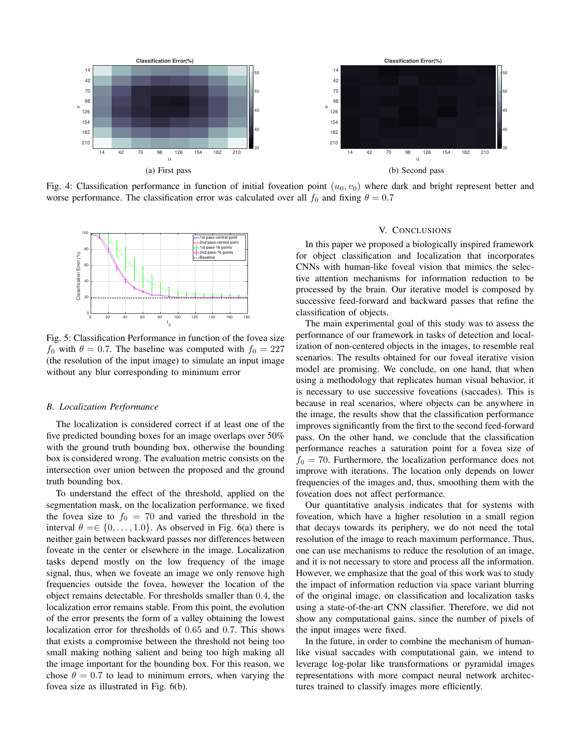

Fig. 4: Classification performance in function of initial foveation point  $(u_0, v_0)$  where dark and bright represent better and worse performance. The classification error was calculated over all  $f_0$  and fixing  $\theta = 0.7$ 



Fig. 5: Classification Performance in function of the fovea size  $f_0$  with  $\theta = 0.7$ . The baseline was computed with  $f_0 = 227$ (the resolution of the input image) to simulate an input image without any blur corresponding to minimum error

# **B.** Localization Performance

The localization is considered correct if at least one of the five predicted bounding boxes for an image overlaps over 50% with the ground truth bounding box, otherwise the bounding box is considered wrong. The evaluation metric consists on the intersection over union between the proposed and the ground truth bounding box.

To understand the effect of the threshold, applied on the segmentation mask, on the localization performance, we fixed the fovea size to  $f_0 = 70$  and varied the threshold in the interval  $\theta = \{0, \ldots, 1.0\}$ . As observed in Fig. 6(a) there is neither gain between backward passes nor differences between foveate in the center or elsewhere in the image. Localization tasks depend mostly on the low frequency of the image signal, thus, when we foveate an image we only remove high frequencies outside the fovea, however the location of the object remains detectable. For thresholds smaller than 0.4, the localization error remains stable. From this point, the evolution of the error presents the form of a valley obtaining the lowest localization error for thresholds of 0.65 and 0.7. This shows that exists a compromise between the threshold not being too small making nothing salient and being too high making all the image important for the bounding box. For this reason, we chose  $\theta = 0.7$  to lead to minimum errors, when varying the fovea size as illustrated in Fig. 6(b).

## V. CONCLUSIONS

In this paper we proposed a biologically inspired framework for object classification and localization that incorporates CNNs with human-like foveal vision that mimics the selective attention mechanisms for information reduction to be processed by the brain. Our iterative model is composed by successive feed-forward and backward passes that refine the classification of objects.

The main experimental goal of this study was to assess the performance of our framework in tasks of detection and localization of non-centered objects in the images, to resemble real scenarios. The results obtained for our foveal iterative vision model are promising. We conclude, on one hand, that when using a methodology that replicates human visual behavior, it is necessary to use successive foveations (saccades). This is because in real scenarios, where objects can be anywhere in the image, the results show that the classification performance improves significantly from the first to the second feed-forward pass. On the other hand, we conclude that the classification performance reaches a saturation point for a fovea size of  $f_0 = 70$ . Furthermore, the localization performance does not improve with iterations. The location only depends on lower frequencies of the images and, thus, smoothing them with the foveation does not affect performance.

Our quantitative analysis indicates that for systems with foveation, which have a higher resolution in a small region that decays towards its periphery, we do not need the total resolution of the image to reach maximum performance. Thus, one can use mechanisms to reduce the resolution of an image, and it is not necessary to store and process all the information. However, we emphasize that the goal of this work was to study the impact of information reduction via space variant blurring of the original image, on classification and localization tasks using a state-of-the-art CNN classifier. Therefore, we did not show any computational gains, since the number of pixels of the input images were fixed.

In the future, in order to combine the mechanism of humanlike visual saccades with computational gain, we intend to leverage log-polar like transformations or pyramidal images representations with more compact neural network architectures trained to classify images more efficiently.